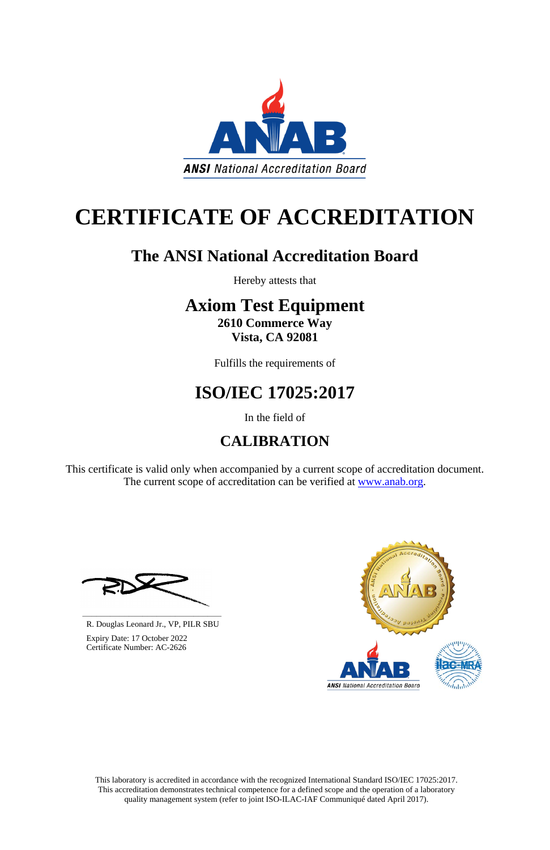This laboratory is accredited in accordance with the recognized International Standard ISO/IEC 17025:2017. This accreditation demonstrates technical competence for a defined scope and the operation of a laboratory quality management system (refer to joint ISO-ILAC-IAF Communiqué dated April 2017).

This certificate is valid only when accompanied by a current scope of accreditation document. The current scope of accreditation can be verified at [www.anab.org.](http://www.anab.org/)





# **CERTIFICATE OF ACCREDITATION**

# **The ANSI National Accreditation Board**

Hereby attests that

# **Axiom Test Equipment**

**2610 Commerce Way Vista, CA 92081**

Fulfills the requirements of

# **ISO/IEC 17025:2017**

In the field of

# **CALIBRATION**

**\_\_\_\_\_\_\_\_\_\_\_\_\_\_\_\_\_\_\_\_\_\_\_\_\_\_\_\_\_\_** R. Douglas Leonard Jr., VP, PILR SBU



 Expiry Date: 17 October 2022 Certificate Number: AC-2626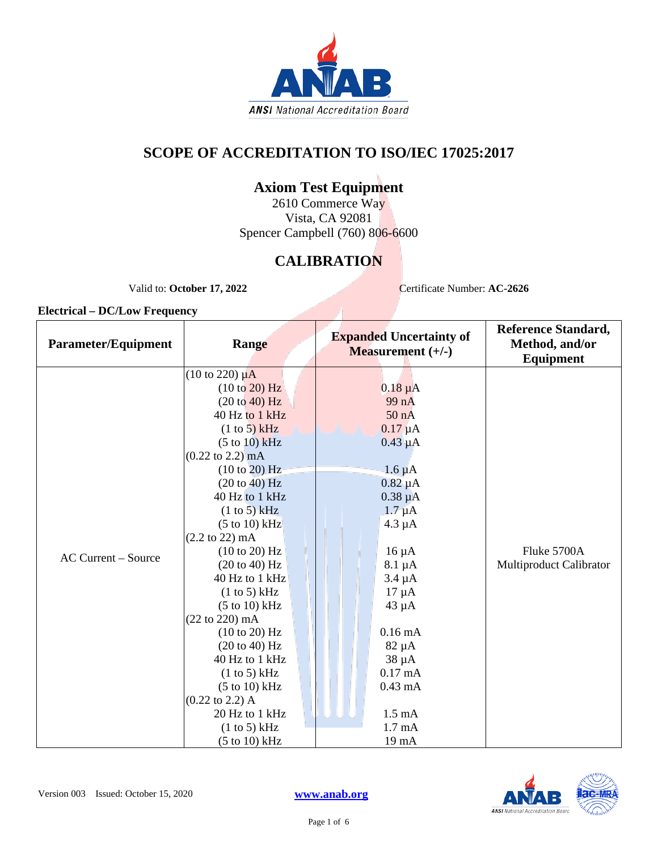

### **SCOPE OF ACCREDITATION TO ISO/IEC 17025:2017**

### **Axiom Test Equipment**

2610 Commerce Way Vista, CA 92081 Spencer Campbell (760) 806-6600

## **CALIBRATION**

Valid to: October 17, 2022 Certificate Number: **AC-2626** 

| <b>Parameter/Equipment</b> | Range                                                                                                                                                                                                                                                                                                                                                                                                                                                                                                                                                                                                                                          | <b>Expanded Uncertainty of</b><br><b>Measurement</b> $(+/-)$                                                                                                                                                                                                                                                               | <b>Reference Standard,</b><br>Method, and/or<br><b>Equipment</b> |
|----------------------------|------------------------------------------------------------------------------------------------------------------------------------------------------------------------------------------------------------------------------------------------------------------------------------------------------------------------------------------------------------------------------------------------------------------------------------------------------------------------------------------------------------------------------------------------------------------------------------------------------------------------------------------------|----------------------------------------------------------------------------------------------------------------------------------------------------------------------------------------------------------------------------------------------------------------------------------------------------------------------------|------------------------------------------------------------------|
| <b>AC Current - Source</b> | $(10 \text{ to } 220) \mu\text{A}$<br>(10 to 20) Hz<br>(20 to 40) Hz<br>40 Hz to 1 kHz<br>(1 to 5) kHz<br>$(5 \text{ to } 10)$ kHz<br>$(0.22 \text{ to } 2.2) \text{ mA}$<br>(10 to 20) Hz<br>$(20 \text{ to } 40) \text{ Hz}$<br>40 Hz to 1 kHz<br>(1 to 5) kHz<br>$(5 \text{ to } 10) \text{ kHz}$<br>$(2.2 \text{ to } 22) \text{ mA}$<br>(10 to 20) Hz<br>(20 to 40) Hz<br>40 Hz to 1 kHz<br>(1 to 5) kHz<br>$(5 \text{ to } 10) \text{ kHz}$<br>$(22 \text{ to } 220) \text{ mA}$<br>(10 to 20) Hz<br>(20 to 40) Hz<br>40 Hz to 1 kHz<br>(1 to 5) kHz<br>$(5 \text{ to } 10) \text{ kHz}$<br>$(0.22 \text{ to } 2.2)$ A<br>20 Hz to 1 kHz | $0.18 \mu A$<br>99 nA<br>50 nA<br>$0.17 \mu A$<br>$0.43 \mu A$<br>$1.6 \mu A$<br>$0.82 \mu A$<br>$0.38 \mu A$<br>$1.7 \mu A$<br>$4.3 \mu A$<br>$16 \mu A$<br>$8.1 \mu A$<br>$3.4 \mu A$<br>$17 \mu A$<br>$43 \mu A$<br>$0.16 \text{ mA}$<br>$82 \mu A$<br>$38 \mu A$<br>$0.17 \text{ mA}$<br>$0.43$ mA<br>$1.5 \text{ mA}$ | Fluke 5700A<br>Multiproduct Calibrator                           |
|                            | (1 to 5) kHz<br>$(5 to 10)$ kHz                                                                                                                                                                                                                                                                                                                                                                                                                                                                                                                                                                                                                | $1.7 \text{ mA}$<br>19 mA                                                                                                                                                                                                                                                                                                  |                                                                  |

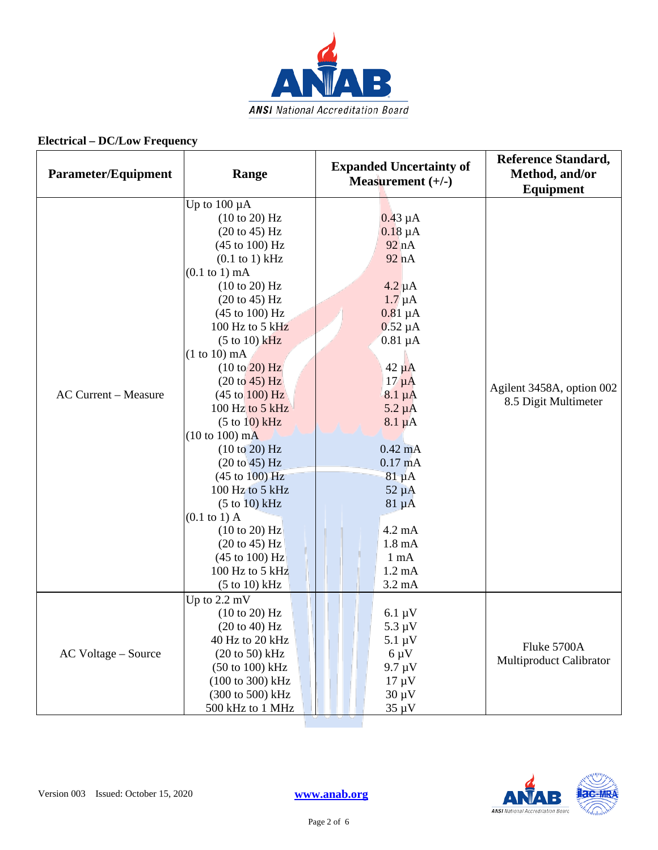

| <b>Parameter/Equipment</b>  | Range                                                                                                                                                                                                                                                                                                                                                                                                                                                                                                                                                                                                                                                                                                       | <b>Expanded Uncertainty of</b><br>Measurement $(+/-)$                                                                                                                                                                                                                                                                                                                               | <b>Reference Standard,</b><br>Method, and/or<br>Equipment |
|-----------------------------|-------------------------------------------------------------------------------------------------------------------------------------------------------------------------------------------------------------------------------------------------------------------------------------------------------------------------------------------------------------------------------------------------------------------------------------------------------------------------------------------------------------------------------------------------------------------------------------------------------------------------------------------------------------------------------------------------------------|-------------------------------------------------------------------------------------------------------------------------------------------------------------------------------------------------------------------------------------------------------------------------------------------------------------------------------------------------------------------------------------|-----------------------------------------------------------|
| <b>AC Current - Measure</b> | Up to $100 \mu A$<br>(10 to 20) Hz<br>$(20 \text{ to } 45)$ Hz<br>(45 to 100) Hz<br>$(0.1$ to 1) kHz<br>$(0.1 \text{ to } 1) \text{ mA}$<br>(10 to 20) Hz<br>(20 to 45) Hz<br>$(45 \text{ to } 100) \text{ Hz}$<br>100 Hz to 5 $kHz$<br>$(5 \text{ to } 10)$ kHz<br>$(1 to 10)$ mA<br>(10 to 20) Hz<br>(20 to 45) Hz<br>$(45 \text{ to } 100) \text{ Hz}$<br>100 Hz to 5 kHz<br>(5 to 10) kHz<br>$(10 to 100)$ mA<br>(10 to 20) Hz<br>(20 to 45) Hz<br>$(45 \text{ to } 100) \text{ Hz}$<br>100 Hz to 5 kHz<br>(5 to 10) kHz<br>$(0.1 \text{ to } 1)$ A<br>$(10 \text{ to } 20)$ Hz<br>$(20 \text{ to } 45)$ Hz<br>$(45 \text{ to } 100) \text{ Hz}$<br>100 Hz to 5 kHz<br>$(5 \text{ to } 10) \text{ kHz}$ | $0.43 \mu A$<br>$0.18 \mu A$<br>92 nA<br>92 nA<br>$4.2 \mu A$<br>$1.7 \mu A$<br>$0.81 \mu A$<br>$0.52 \mu A$<br>$0.81 \mu A$<br>$42 \mu A$<br>$17 \mu A$<br>$8.1 \mu A$<br>$5.2 \mu A$<br>$8.1 \mu A$<br>$0.42$ mA<br>$0.17 \text{ mA}$<br>$81 \mu A$<br>$52 \mu A$<br>$81 \mu A$<br>$4.2 \text{ mA}$<br>$1.8 \text{ mA}$<br>$1 \text{ mA}$<br>$1.2 \text{ mA}$<br>$3.2 \text{ mA}$ | Agilent 3458A, option 002<br>8.5 Digit Multimeter         |
| AC Voltage – Source         | Up to $2.2 \text{ mV}$<br>(10 to 20) Hz<br>$(20 \text{ to } 40) \text{ Hz}$<br>40 Hz to 20 kHz<br>$(20 to 50)$ kHz<br>$(50 \text{ to } 100) \text{ kHz}$<br>(100 to 300) kHz<br>(300 to 500) kHz<br>500 kHz to 1 MHz                                                                                                                                                                                                                                                                                                                                                                                                                                                                                        | $6.1 \mu V$<br>$5.3 \mu V$<br>$5.1 \mu V$<br>$6 \mu V$<br>$9.7 \mu V$<br>$17 \mu V$<br>$30 \mu V$<br>$35 \mu V$                                                                                                                                                                                                                                                                     | Fluke 5700A<br>Multiproduct Calibrator                    |

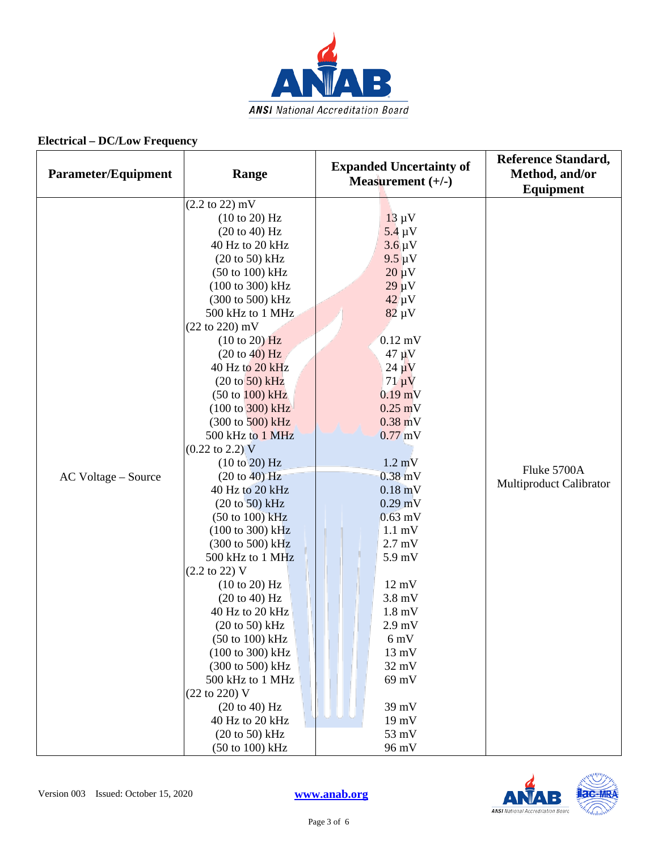

| <b>Parameter/Equipment</b> | Range                                                                                                                                                                                                                                                                                                                                                                                                                                                                                                                                                                                                                                                                                                                                                                                                                                                                                                                                                                                                                                | <b>Expanded Uncertainty of</b><br>Measurement $(+/-)$                                                                                                                                                                                                                                                                                                                                                                                                                                                                      | <b>Reference Standard,</b><br>Method, and/or<br><b>Equipment</b> |
|----------------------------|--------------------------------------------------------------------------------------------------------------------------------------------------------------------------------------------------------------------------------------------------------------------------------------------------------------------------------------------------------------------------------------------------------------------------------------------------------------------------------------------------------------------------------------------------------------------------------------------------------------------------------------------------------------------------------------------------------------------------------------------------------------------------------------------------------------------------------------------------------------------------------------------------------------------------------------------------------------------------------------------------------------------------------------|----------------------------------------------------------------------------------------------------------------------------------------------------------------------------------------------------------------------------------------------------------------------------------------------------------------------------------------------------------------------------------------------------------------------------------------------------------------------------------------------------------------------------|------------------------------------------------------------------|
| AC Voltage – Source        | $(2.2 \text{ to } 22) \text{ mV}$<br>(10 to 20) Hz<br>(20 to 40) Hz<br>40 Hz to 20 kHz<br>$(20 \text{ to } 50) \text{ kHz}$<br>(50 to 100) kHz<br>(100 to 300) kHz<br>(300 to 500) kHz<br>500 kHz to 1 MHz<br>$(22 \text{ to } 220) \text{ mV}$<br>(10 to 20) Hz<br>(20 to 40) Hz<br>40 Hz to 20 kHz<br>$(20 to 50)$ kHz<br>$(50 \text{ to } 100) \text{ kHz}$<br>$(100 \text{ to } 300) \text{ kHz}$<br>$(300 \text{ to } 500) \text{ kHz}$<br>500 kHz to 1 MHz<br>$(0.22 \text{ to } 2.2) \text{ V}$<br>(10 to 20) Hz<br>(20 to 40) Hz<br>40 Hz to 20 kHz<br>$(20 to 50)$ kHz<br>$(50 \text{ to } 100) \text{ kHz}$<br>$(100 \text{ to } 300) \text{ kHz}$<br>(300 to 500) kHz<br>500 kHz to 1 MHz<br>$(2.2 \text{ to } 22)$ V<br>(10 to 20) Hz<br>$(20 \text{ to } 40)$ Hz<br>40 Hz to 20 kHz<br>(20 to 50) kHz<br>$(50 \text{ to } 100) \text{ kHz}$<br>(100 to 300) kHz<br>(300 to 500) kHz<br>500 kHz to 1 MHz<br>(22 to 220) V<br>$(20 \text{ to } 40)$ Hz<br>40 Hz to 20 kHz<br>$(20 \text{ to } 50)$ kHz<br>(50 to 100) kHz | $13 \mu V$<br>$5.4 \mu V$<br>$3.6 \mu V$<br>$9.5 \mu V$<br>$20 \mu V$<br>$29 \mu V$<br>$42 \mu V$<br>$82 \mu V$<br>$0.12$ mV<br>$47 \mu V$<br>$24 \mu V$<br>$71 \mu V$<br>$0.19$ mV<br>$0.25$ mV<br>$0.38$ mV<br>$0.77$ mV<br>$1.2 \text{ mV}$<br>$0.38$ mV<br>$0.18$ mV<br>$0.29$ mV<br>$0.63$ mV<br>$1.1 \text{ mV}$<br>$2.7$ mV<br>5.9 mV<br>$12 \text{ mV}$<br>$3.8$ mV<br>$1.8 \text{ mV}$<br>$2.9$ mV<br>$6 \text{ mV}$<br>$13 \text{ mV}$<br>$32 \text{ mV}$<br>69 mV<br>39 mV<br>$19 \text{ mV}$<br>53 mV<br>96 mV | Fluke 5700A<br>Multiproduct Calibrator                           |

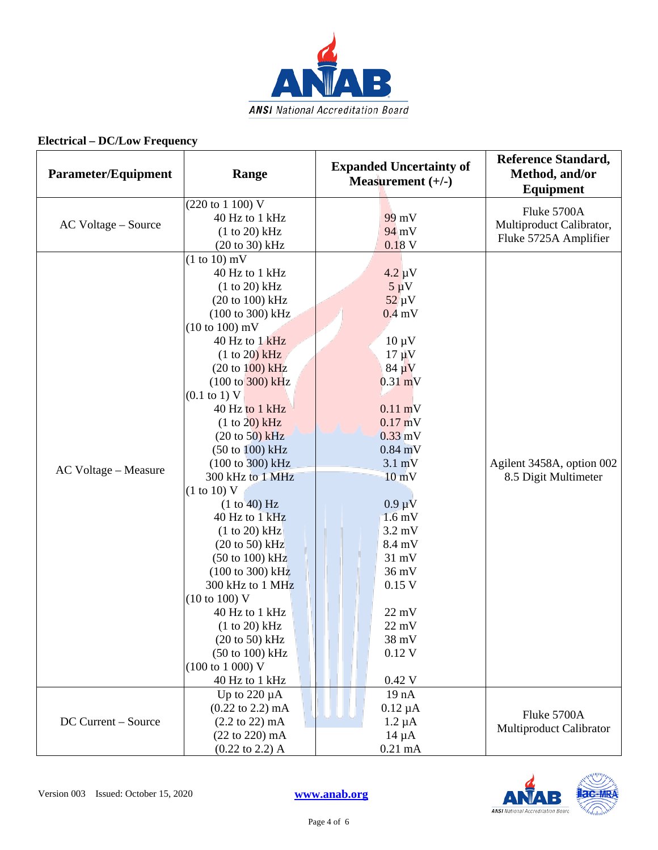

| <b>Parameter/Equipment</b> | Range                                                                                                                                                                                                                                                                                                                                                                                                                                                                                                                                                                                                                                                                                                                                                                                                                         | <b>Expanded Uncertainty of</b><br>Measurement $(+/-)$                                                                                                                                                                                                                                                                                                                        | <b>Reference Standard,</b><br>Method, and/or<br><b>Equipment</b> |
|----------------------------|-------------------------------------------------------------------------------------------------------------------------------------------------------------------------------------------------------------------------------------------------------------------------------------------------------------------------------------------------------------------------------------------------------------------------------------------------------------------------------------------------------------------------------------------------------------------------------------------------------------------------------------------------------------------------------------------------------------------------------------------------------------------------------------------------------------------------------|------------------------------------------------------------------------------------------------------------------------------------------------------------------------------------------------------------------------------------------------------------------------------------------------------------------------------------------------------------------------------|------------------------------------------------------------------|
| AC Voltage - Source        | (220 to 1 100) V<br>40 Hz to 1 kHz<br>(1 to 20) kHz<br>$(20 to 30)$ kHz                                                                                                                                                                                                                                                                                                                                                                                                                                                                                                                                                                                                                                                                                                                                                       | 99 mV<br>94 mV<br>0.18V                                                                                                                                                                                                                                                                                                                                                      | Fluke 5700A<br>Multiproduct Calibrator,<br>Fluke 5725A Amplifier |
| AC Voltage - Measure       | $(1 to 10)$ mV<br>40 Hz to 1 kHz<br>$(1 to 20)$ kHz<br>$(20 \text{ to } 100) \text{ kHz}$<br>(100 to 300) kHz<br>$(10 \text{ to } 100) \text{ mV}$<br>40 Hz to 1 kHz<br>$(1 to 20)$ kHz<br>$(20 \text{ to } 100) \text{ kHz}$<br>$(100 \text{ to } 300) \text{ kHz}$<br>$(0.1 \text{ to } 1) \text{ V}$<br>40 Hz to 1 kHz<br>(1 to 20) kHz<br>$(20 \text{ to } 50)$ kHz<br>$(50 \text{ to } 100) \text{ kHz}$<br>(100 to 300) kHz<br>300 kHz to 1 MHz<br>(1 to 10) V<br>(1 to 40) Hz<br>40 Hz to 1 kHz<br>(1 to 20) kHz<br>$(20 \text{ to } 50)$ kHz<br>$(50 \text{ to } 100) \text{ kHz}$<br>$(100 \text{ to } 300) \text{ kHz}$<br>300 kHz to 1 MHz<br>(10 to 100) V<br>40 Hz to 1 kHz<br>$(1 to 20)$ kHz<br>$(20 to 50)$ kHz<br>$(50 \text{ to } 100) \text{ kHz}$<br>$(100 \text{ to } 1000) \text{ V}$<br>40 Hz to 1 kHz | $4.2 \mu V$<br>$5 \mu V$<br>$52 \mu V$<br>$0.4$ mV<br>$10 \mu V$<br>$17 \mu V$<br>$84 \mu V$<br>$0.31$ mV<br>$0.11$ mV<br>$0.17$ mV<br>$0.33$ mV<br>$0.84$ mV<br>$3.1 \text{ mV}$<br>$10 \text{ mV}$<br>$0.9 \mu V$<br>$1.6$ mV<br>$3.2 \text{ mV}$<br>8.4 mV<br>$31 \text{ mV}$<br>$36 \text{ mV}$<br>$0.15$ V<br>$22 \text{ mV}$<br>22 mV<br>38 mV<br>$0.12$ V<br>$0.42$ V | Agilent 3458A, option 002<br>8.5 Digit Multimeter                |
| DC Current – Source        | Up to $220 \mu A$<br>$(0.22 \text{ to } 2.2) \text{ mA}$<br>$(2.2 \text{ to } 22) \text{ mA}$<br>(22 to 220) mA<br>$(0.22 \text{ to } 2.2)$ A                                                                                                                                                                                                                                                                                                                                                                                                                                                                                                                                                                                                                                                                                 | 19 nA<br>$0.12 \mu A$<br>$1.2 \mu A$<br>$14 \mu A$<br>$0.21$ mA                                                                                                                                                                                                                                                                                                              | Fluke 5700A<br>Multiproduct Calibrator                           |

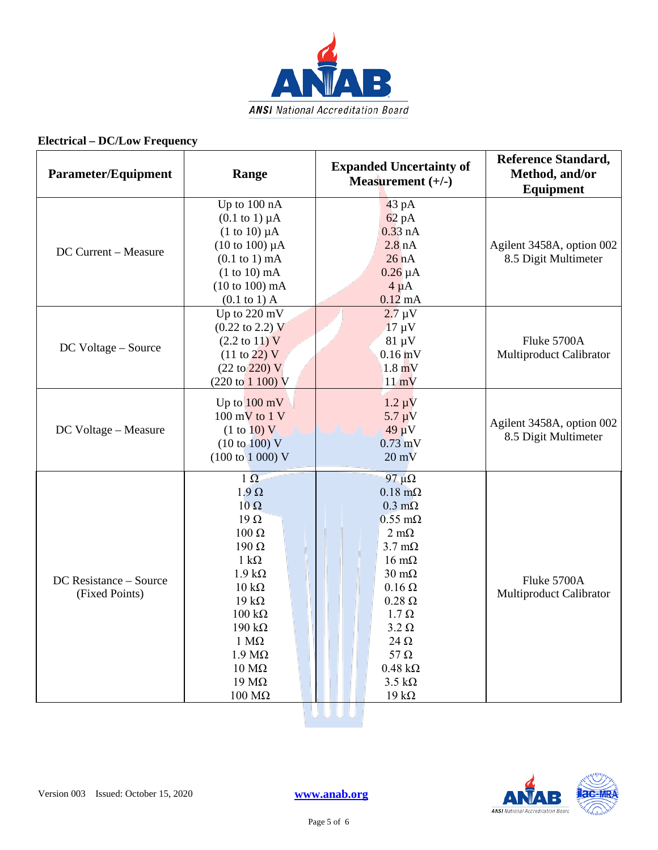

| <b>Parameter/Equipment</b>               | Range                                                                                                                                                                                                                                                                                                                 | <b>Expanded Uncertainty of</b><br>Measurement $(+/-)$                                                                                                                                                                                                                                                                                       | <b>Reference Standard,</b><br>Method, and/or<br>Equipment |
|------------------------------------------|-----------------------------------------------------------------------------------------------------------------------------------------------------------------------------------------------------------------------------------------------------------------------------------------------------------------------|---------------------------------------------------------------------------------------------------------------------------------------------------------------------------------------------------------------------------------------------------------------------------------------------------------------------------------------------|-----------------------------------------------------------|
| DC Current - Measure                     | Up to 100 nA<br>$(0.1$ to 1) $\mu$ A<br>$(1 \text{ to } 10) \mu A$<br>$(10 \text{ to } 100) \mu A$<br>$(0.1$ to 1) mA<br>$(1 to 10)$ mA<br>$(10 to 100)$ mA<br>$(0.1 \text{ to } 1)$ A                                                                                                                                | 43 pA<br>$62$ pA<br>$0.33$ nA<br>2.8 <sub>nA</sub><br>26 nA<br>$0.26 \mu A$<br>$4 \mu A$<br>$0.12 \text{ mA}$                                                                                                                                                                                                                               | Agilent 3458A, option 002<br>8.5 Digit Multimeter         |
| DC Voltage - Source                      | Up to 220 mV<br>$(0.22 \text{ to } 2.2) \text{ V}$<br>$(2.2 \text{ to } 11) \text{ V}$<br>$(11 \text{ to } 22) \text{ V}$<br>$(22 \text{ to } 220) \text{ V}$<br>$(220 \text{ to } 1100) \text{ V}$                                                                                                                   | $2.7 \mu V$<br>$17 \mu V$<br>$81 \mu V$<br>$0.16$ mV<br>$1.8 \text{ mV}$<br>$11 \text{ mV}$                                                                                                                                                                                                                                                 | Fluke 5700A<br>Multiproduct Calibrator                    |
| DC Voltage - Measure                     | Up to $100 \text{ mV}$<br>$100 \text{ mV}$ to $1 \text{ V}$<br>(1 to 10) V<br>(10 to 100) V<br>$(100 \text{ to } 1000) \text{ V}$                                                                                                                                                                                     | $1.2 \mu V$<br>$5.7 \mu$ V<br>$49 \mu V$<br>$0.73$ mV<br>$20 \text{ mV}$                                                                                                                                                                                                                                                                    | Agilent 3458A, option 002<br>8.5 Digit Multimeter         |
| DC Resistance - Source<br>(Fixed Points) | $1 \Omega$<br>$1.9 \Omega$<br>$10 \Omega$<br>$19\Omega$<br>$100 \Omega$<br>$190 \Omega$<br>$1 \text{ k}\Omega$<br>$1.9 k\Omega$<br>$10 \text{ k}\Omega$<br>$19 k\Omega$<br>$100 \text{ k}\Omega$<br>$190 \text{ k}\Omega$<br>$1 M\Omega$<br>$1.9 M\Omega$<br>$10 \text{ M}\Omega$<br>$19 \text{ M}\Omega$<br>$100$ ΜΩ | 97 $\mu\Omega$<br>$0.18 \text{ m}\Omega$<br>$0.3 \text{ m}\Omega$<br>$0.55$ m $\Omega$<br>$2 \text{ mA}$<br>$3.7 \text{ mA}$<br>$16 \text{ mA}$<br>$30 \text{ m}\Omega$<br>$0.16 \Omega$<br>$0.28 \Omega$<br>$1.7 \Omega$<br>$3.2 \Omega$<br>$24 \Omega$<br>$57 \Omega$<br>$0.48 \text{ k}\Omega$<br>$3.5 \text{ k}\Omega$<br>19 k $\Omega$ | Fluke 5700A<br>Multiproduct Calibrator                    |